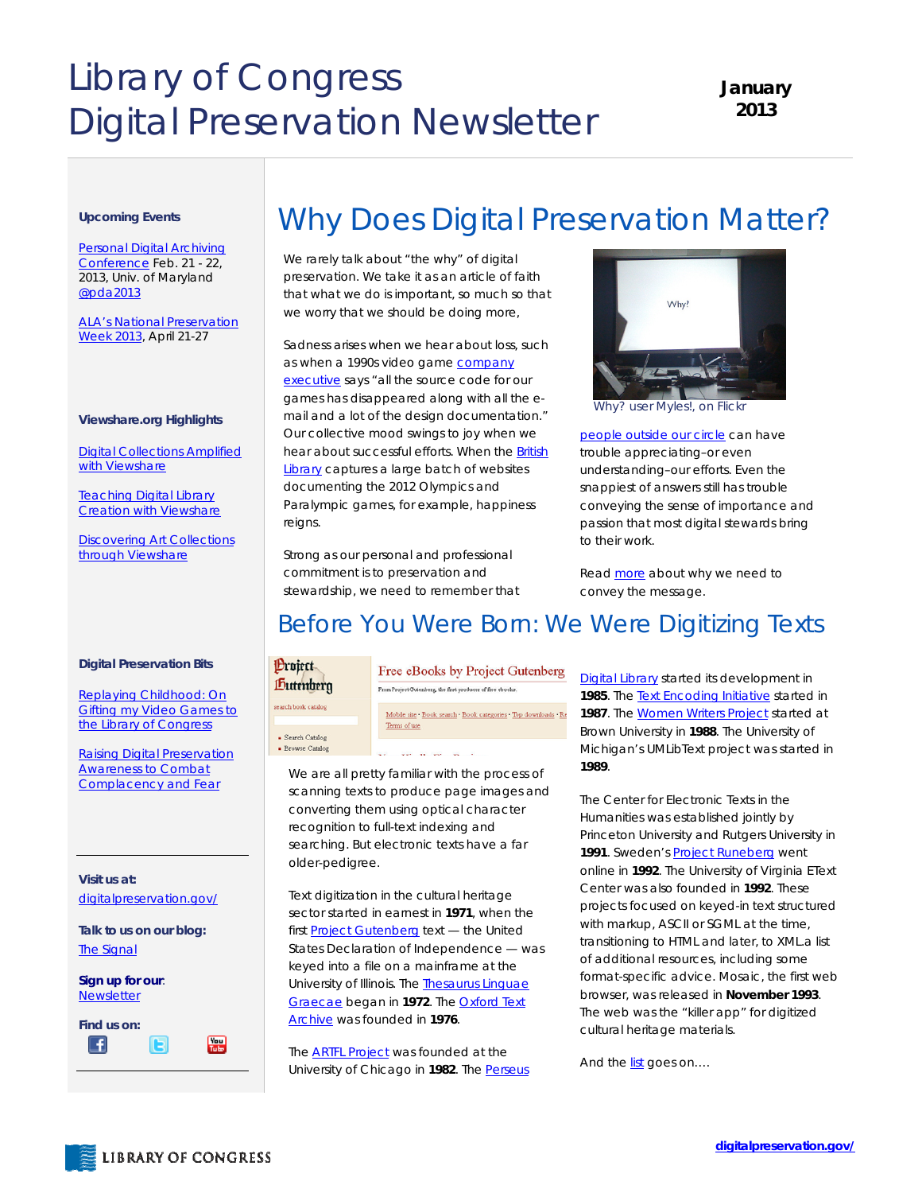# Library of Congress Digital Preservation Newsletter

**January 2013** 

#### **Upcoming Events**

Personal Digital Archiving [Conference Feb. 21 - 22,](http://mith.umd.edu/pda2013/)  2013, Univ. of Maryland [@pda2013](https://twitter.com/pda2013) 

[ALA's National Preservation](http://blogs.loc.gov/digitalpreservation/2012/12/planning-for-national-preservation-week-2013/)  [Week 2013](http://blogs.loc.gov/digitalpreservation/2012/12/planning-for-national-preservation-week-2013/), April 21-27

#### **Viewshare.org Highlights**

[Digital Collections Amplified](http://blogs.loc.gov/digitalpreservation/2012/12/digital-collections-amplified-with-viewshare-an-interview-with-meghan-frazer/)  with Viewshare

Teaching Digital Library **[Creation with Viewshare](http://blogs.loc.gov/digitalpreservation/2012/12/teaching-digital-library-creation-with-viewshare/)** 

**Discovering Art Collections** through Viewshare

#### **Digital Preservation Bits**

Replaying Childhood: On [Gifting my Video Games to](http://blogs.loc.gov/digitalpreservation/2012/12/replaying-childhood-on-gifting-my-video-games-to-the-library-of-congress/)  the Library of Congress

Raising Digital Preservation Awareness to Combat [Complacency and Fear](http://blogs.loc.gov/digitalpreservation/2012/12/raising-digital-preservation-awareness-to-combat-complacency-and-fear/)

**Visit us at:**  [digitalpreservation.gov/](http://www.digitalpreservation.gov/)

**Talk to us on our blog:**  [The Signal](http://blogs.loc.gov/digitalpreservation/)

**Sign up for our**: [Newsletter](https://public.govdelivery.com/accounts/USLOC/subscriber/new?)



## Why Does Digital Preservation Matter?

We rarely talk about "the why" of digital preservation. We take it as an article of faith that what we do is important, so much so that we worry that we should be doing more,

Sadness arises when we hear about loss, such as when a 1990s video game [company](http://www.scmp.com/lifestyle/article/1099101/digital-lifestyle-data-destiny)  [executive](http://www.scmp.com/lifestyle/article/1099101/digital-lifestyle-data-destiny) says "all the source code for our games has disappeared along with all the email and a lot of the design documentation." Our collective mood swings to joy when we hear about successful efforts. When the **British** [Library](http://www.webarchive.org.uk/ukwa/collection/4325386/page/1) captures a large batch of websites documenting the 2012 Olympics and Paralympic games, for example, happiness reigns.

Strong as our personal and professional commitment is to preservation and stewardship, we need to remember that



*Why? user Myles!, on Flickr* 

[people outside our circle](http://blogs.loc.gov/digitalpreservation/2012/11/framing-the-digital-preservation-conversation/) can have trouble appreciating–or even understanding–our efforts. Even the snappiest of answers still has trouble conveying the sense of importance and passion that most digital stewards bring to their work.

Read [more](http://blogs.loc.gov/digitalpreservation/2012/12/why-does-digital-preservation-matter/) about why we need to convey the message.

### Before You Were Born: We Were Digitizing Texts

#### **Project** Dutenberg

search book catalog

· Search Catalog

Free eBooks by Project Gutenberg From Project Gutenberg, the first producer of free ebooks.

Mobile site . Book search . Book categories . Top downloads . Re Terms of use

• Browse Catalog was an one on

We are all pretty familiar with the process of scanning texts to produce page images and converting them using optical character recognition to full-text indexing and searching. But electronic texts have a far older-pedigree.

Text digitization in the cultural heritage sector started in earnest in **1971**, when the first **[Project Gutenberg](http://www.gutenberg.org/)** text - the United States Declaration of Independence — was keyed into a file on a mainframe at the University of Illinois. The **Thesaurus Linguae** [Graecae](http://www.tlg.uci.edu/) began in **1972**. Th[e Oxford Text](http://ota.ahds.ac.uk/)  [Archive](http://ota.ahds.ac.uk/) was founded in **1976**.

The **ARTFL Project** was founded at the University of Chicago in **1982**. The [Perseus](http://www.perseus.tufts.edu/hopper/)  **[Digital Library](http://www.perseus.tufts.edu/hopper/)** started its development in **1985**. The [Text Encoding Initiative](http://www.tei-c.org/index.xml) started in 1987. The [Women Writers Project](http://www.wwp.brown.edu/) started at Brown University in **1988**. The University of Michigan's UMLibText project was started in **1989**.

The Center for Electronic Texts in the Humanities was established jointly by Princeton University and Rutgers University in 1991. Sweden's **Project Runeberg** went online in **1992**. The University of Virginia EText Center was also founded in **1992**. These projects focused on keyed-in text structured with markup, ASCII or SGML at the time, transitioning to HTML and later, to XML.a list of additional resources, including some format-specific advice. Mosaic, the first web browser, was released in **November 1993**. The web was the "killer app" for digitized cultural heritage materials.

And th[e list g](http://blogs.loc.gov/digitalpreservation/2012/12/before-you-were-born-we-were-digitizing-texts/)oes on....